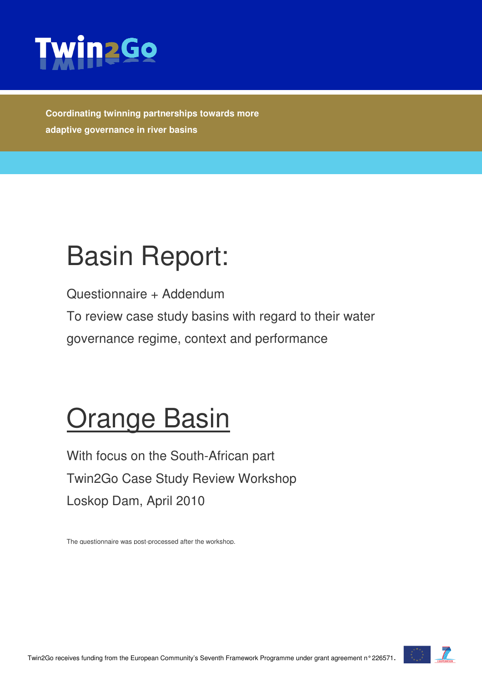

**Coordinating twinning partnerships towards more adaptive governance in river basins** 

# Basin Report:

Questionnaire + Addendum

To review case study basins with regard to their water governance regime, context and performance

# **Orange Basin**

With focus on the South-African part Twin2Go Case Study Review Workshop Loskop Dam, April 2010

The questionnaire was post-processed after the workshop.

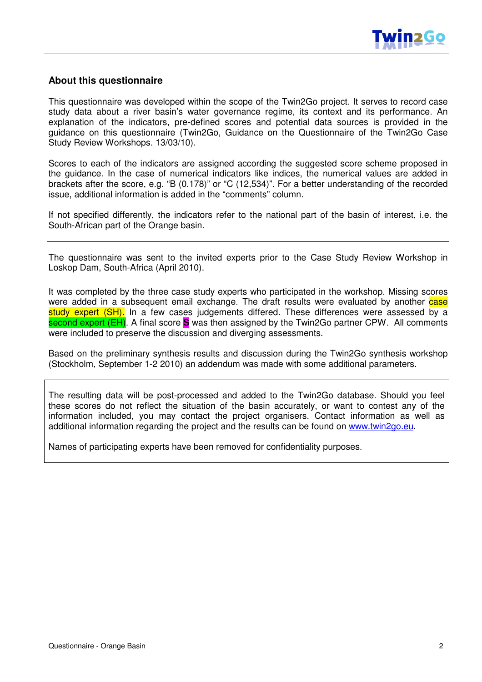

#### **About this questionnaire**

This questionnaire was developed within the scope of the Twin2Go project. It serves to record case study data about a river basin's water governance regime, its context and its performance. An explanation of the indicators, pre-defined scores and potential data sources is provided in the guidance on this questionnaire (Twin2Go, Guidance on the Questionnaire of the Twin2Go Case Study Review Workshops. 13/03/10).

Scores to each of the indicators are assigned according the suggested score scheme proposed in the guidance. In the case of numerical indicators like indices, the numerical values are added in brackets after the score, e.g. "B (0.178)" or "C (12,534)". For a better understanding of the recorded issue, additional information is added in the "comments" column.

If not specified differently, the indicators refer to the national part of the basin of interest, i.e. the South-African part of the Orange basin.

The questionnaire was sent to the invited experts prior to the Case Study Review Workshop in Loskop Dam, South-Africa (April 2010).

It was completed by the three case study experts who participated in the workshop. Missing scores were added in a subsequent email exchange. The draft results were evaluated by another case study expert (SH). In a few cases judgements differed. These differences were assessed by a second expert (EH). A final score **S** was then assigned by the Twin2Go partner CPW. All comments were included to preserve the discussion and diverging assessments.

Based on the preliminary synthesis results and discussion during the Twin2Go synthesis workshop (Stockholm, September 1-2 2010) an addendum was made with some additional parameters.

The resulting data will be post-processed and added to the Twin2Go database. Should you feel these scores do not reflect the situation of the basin accurately, or want to contest any of the information included, you may contact the project organisers. Contact information as well as additional information regarding the project and the results can be found on www.twin2go.eu.

Names of participating experts have been removed for confidentiality purposes.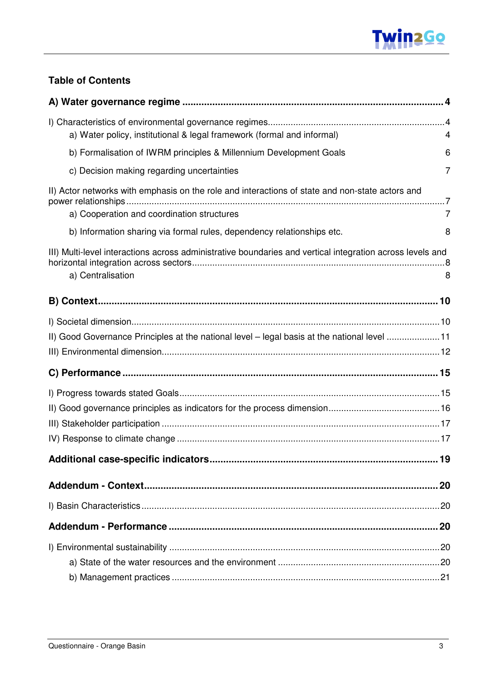

#### **Table of Contents**

| a) Water policy, institutional & legal framework (formal and informal)                                    | 4  |
|-----------------------------------------------------------------------------------------------------------|----|
| b) Formalisation of IWRM principles & Millennium Development Goals                                        | 6  |
| c) Decision making regarding uncertainties                                                                | 7  |
| II) Actor networks with emphasis on the role and interactions of state and non-state actors and           |    |
| a) Cooperation and coordination structures                                                                | 7  |
| b) Information sharing via formal rules, dependency relationships etc.                                    | 8  |
| III) Multi-level interactions across administrative boundaries and vertical integration across levels and |    |
| a) Centralisation                                                                                         | 8  |
|                                                                                                           |    |
|                                                                                                           |    |
| II) Good Governance Principles at the national level – legal basis at the national level 11               |    |
|                                                                                                           |    |
|                                                                                                           |    |
|                                                                                                           |    |
|                                                                                                           |    |
|                                                                                                           |    |
|                                                                                                           |    |
|                                                                                                           |    |
|                                                                                                           | 20 |
|                                                                                                           |    |
|                                                                                                           |    |
|                                                                                                           |    |
|                                                                                                           |    |
|                                                                                                           |    |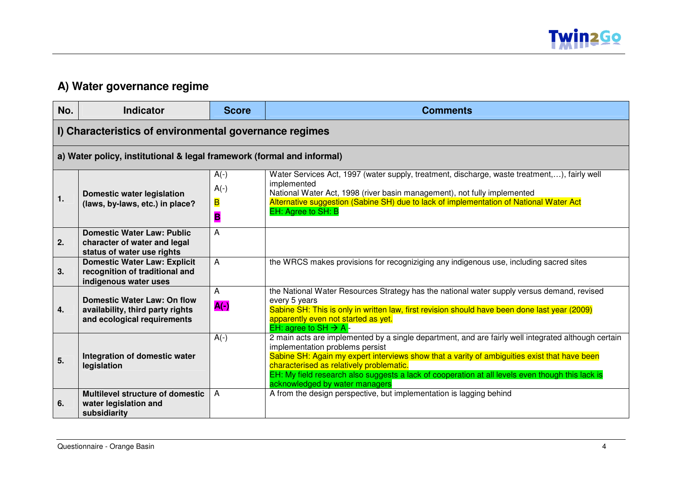

### **A) Water governance regime**

| No. | <b>Indicator</b>                                                                                      | <b>Score</b>                                     | <b>Comments</b>                                                                                                                                                                                                                                                                                                                                                                                                          |
|-----|-------------------------------------------------------------------------------------------------------|--------------------------------------------------|--------------------------------------------------------------------------------------------------------------------------------------------------------------------------------------------------------------------------------------------------------------------------------------------------------------------------------------------------------------------------------------------------------------------------|
|     | I) Characteristics of environmental governance regimes                                                |                                                  |                                                                                                                                                                                                                                                                                                                                                                                                                          |
|     | a) Water policy, institutional & legal framework (formal and informal)                                |                                                  |                                                                                                                                                                                                                                                                                                                                                                                                                          |
| 1.  | <b>Domestic water legislation</b><br>(laws, by-laws, etc.) in place?                                  | $A(-)$<br>$A(-)$<br>$\overline{\mathbf{B}}$<br>B | Water Services Act, 1997 (water supply, treatment, discharge, waste treatment,), fairly well<br>implemented<br>National Water Act, 1998 (river basin management), not fully implemented<br>Alternative suggestion (Sabine SH) due to lack of implementation of National Water Act<br>EH: Agree to SH: B                                                                                                                  |
| 2.  | <b>Domestic Water Law: Public</b><br>character of water and legal<br>status of water use rights       | A                                                |                                                                                                                                                                                                                                                                                                                                                                                                                          |
| 3.  | <b>Domestic Water Law: Explicit</b><br>recognition of traditional and<br>indigenous water uses        | $\overline{A}$                                   | the WRCS makes provisions for recogniziging any indigenous use, including sacred sites                                                                                                                                                                                                                                                                                                                                   |
| 4.  | <b>Domestic Water Law: On flow</b><br>availability, third party rights<br>and ecological requirements | $\overline{A}$<br>$A(-)$                         | the National Water Resources Strategy has the national water supply versus demand, revised<br>every 5 years<br>Sabine SH: This is only in written law, first revision should have been done last year (2009)<br>apparently even not started as yet.<br>EH: agree to SH $\rightarrow$ A -                                                                                                                                 |
| 5.  | Integration of domestic water<br>legislation                                                          | $A(-)$                                           | 2 main acts are implemented by a single department, and are fairly well integrated although certain<br>implementation problems persist<br>Sabine SH: Again my expert interviews show that a varity of ambiguities exist that have been<br>characterised as relatively problematic.<br>EH: My field research also suggests a lack of cooperation at all levels even though this lack is<br>acknowledged by water managers |
| 6.  | Multilevel structure of domestic<br>water legislation and<br>subsidiarity                             | A                                                | A from the design perspective, but implementation is lagging behind                                                                                                                                                                                                                                                                                                                                                      |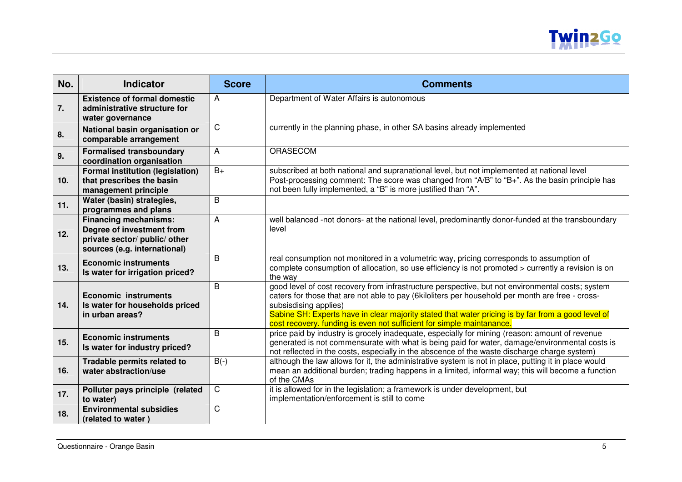

| No. | <b>Indicator</b>                                                                                                           | <b>Score</b>   | <b>Comments</b>                                                                                                                                                                                                                                                                                                                                                                                              |
|-----|----------------------------------------------------------------------------------------------------------------------------|----------------|--------------------------------------------------------------------------------------------------------------------------------------------------------------------------------------------------------------------------------------------------------------------------------------------------------------------------------------------------------------------------------------------------------------|
| 7.  | <b>Existence of formal domestic</b><br>administrative structure for<br>water governance                                    | $\overline{A}$ | Department of Water Affairs is autonomous                                                                                                                                                                                                                                                                                                                                                                    |
| 8.  | National basin organisation or<br>comparable arrangement                                                                   | $\mathsf C$    | currently in the planning phase, in other SA basins already implemented                                                                                                                                                                                                                                                                                                                                      |
| 9.  | <b>Formalised transboundary</b><br>coordination organisation                                                               | A              | <b>ORASECOM</b>                                                                                                                                                                                                                                                                                                                                                                                              |
| 10. | <b>Formal institution (legislation)</b><br>that prescribes the basin<br>management principle                               | $B+$           | subscribed at both national and supranational level, but not implemented at national level<br>Post-processing comment: The score was changed from "A/B" to "B+". As the basin principle has<br>not been fully implemented, a "B" is more justified than "A".                                                                                                                                                 |
| 11. | Water (basin) strategies,<br>programmes and plans                                                                          | $\overline{B}$ |                                                                                                                                                                                                                                                                                                                                                                                                              |
| 12. | <b>Financing mechanisms:</b><br>Degree of investment from<br>private sector/ public/ other<br>sources (e.g. international) | A              | well balanced -not donors- at the national level, predominantly donor-funded at the transboundary<br>level                                                                                                                                                                                                                                                                                                   |
| 13. | <b>Economic instruments</b><br>Is water for irrigation priced?                                                             | B              | real consumption not monitored in a volumetric way, pricing corresponds to assumption of<br>complete consumption of allocation, so use efficiency is not promoted > currently a revision is on<br>the way                                                                                                                                                                                                    |
| 14. | <b>Economic instruments</b><br>Is water for households priced<br>in urban areas?                                           | B              | good level of cost recovery from infrastructure perspective, but not environmental costs; system<br>caters for those that are not able to pay (6kiloliters per household per month are free - cross-<br>subsisdising applies)<br>Sabine SH: Experts have in clear majority stated that water pricing is by far from a good level of<br>cost recovery. funding is even not sufficient for simple maintanance. |
| 15. | <b>Economic instruments</b><br>Is water for industry priced?                                                               | B              | price paid by industry is grocely inadequate, especially for mining (reason: amount of revenue<br>generated is not commensurate with what is being paid for water, damage/environmental costs is<br>not reflected in the costs, especially in the abscence of the waste discharge charge system)                                                                                                             |
| 16. | Tradable permits related to<br>water abstraction/use                                                                       | $B(-)$         | although the law allows for it, the administrative system is not in place, putting it in place would<br>mean an additional burden; trading happens in a limited, informal way; this will become a function<br>of the CMAs                                                                                                                                                                                    |
| 17. | Polluter pays principle (related<br>to water)                                                                              | C              | it is allowed for in the legislation; a framework is under development, but<br>implementation/enforcement is still to come                                                                                                                                                                                                                                                                                   |
| 18. | <b>Environmental subsidies</b><br>(related to water)                                                                       | $\mathsf{C}$   |                                                                                                                                                                                                                                                                                                                                                                                                              |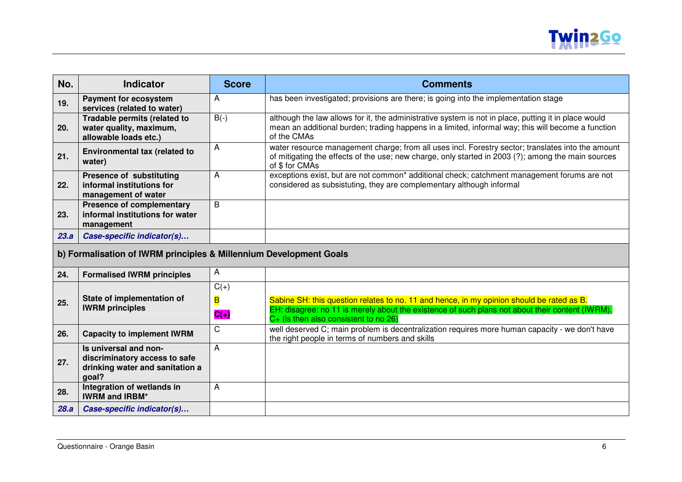

| No.                                                                | Indicator                                                                         | <b>Score</b> | <b>Comments</b>                                                                                                                                                                                                           |
|--------------------------------------------------------------------|-----------------------------------------------------------------------------------|--------------|---------------------------------------------------------------------------------------------------------------------------------------------------------------------------------------------------------------------------|
| 19.                                                                | <b>Payment for ecosystem</b><br>services (related to water)                       | A            | has been investigated; provisions are there; is going into the implementation stage                                                                                                                                       |
| 20.                                                                | Tradable permits (related to<br>water quality, maximum,<br>allowable loads etc.)  | $B(-)$       | although the law allows for it, the administrative system is not in place, putting it in place would<br>mean an additional burden; trading happens in a limited, informal way; this will become a function<br>of the CMAs |
| 21.                                                                | Environmental tax (related to<br>water)                                           | A            | water resource management charge; from all uses incl. Forestry sector; translates into the amount<br>of mitigating the effects of the use; new charge, only started in 2003 (?); among the main sources<br>of \$ for CMAs |
| 22.                                                                | Presence of substituting<br>informal institutions for<br>management of water      | A            | exceptions exist, but are not common* additional check; catchment management forums are not<br>considered as subsistuting, they are complementary although informal                                                       |
| 23.                                                                | <b>Presence of complementary</b><br>informal institutions for water<br>management | B            |                                                                                                                                                                                                                           |
| 23.a                                                               | Case-specific indicator(s)                                                        |              |                                                                                                                                                                                                                           |
| b) Formalisation of IWRM principles & Millennium Development Goals |                                                                                   |              |                                                                                                                                                                                                                           |

| 24.  | <b>Formalised IWRM principles</b>                                                                  | A                     |                                                                                                                                                                                                                                         |
|------|----------------------------------------------------------------------------------------------------|-----------------------|-----------------------------------------------------------------------------------------------------------------------------------------------------------------------------------------------------------------------------------------|
| 25.  | State of implementation of<br><b>IWRM</b> principles                                               | $C(+)$<br>в<br>$C(+)$ | Sabine SH: this question relates to no. 11 and hence, in my opinion should be rated as B.<br>EH: disagree: no 11 is merely about the existence of such plans not about their content (IWRM).<br>$C+$ (is then also consistent to no 26) |
| 26.  | <b>Capacity to implement IWRM</b>                                                                  | C                     | well deserved C; main problem is decentralization requires more human capacity - we don't have<br>the right people in terms of numbers and skills                                                                                       |
| 27.  | Is universal and non-<br>discriminatory access to safe<br>drinking water and sanitation a<br>goal? | A                     |                                                                                                                                                                                                                                         |
| 28.  | Integration of wetlands in<br><b>IWRM and IRBM*</b>                                                | A                     |                                                                                                                                                                                                                                         |
| 28.a | Case-specific indicator(s)                                                                         |                       |                                                                                                                                                                                                                                         |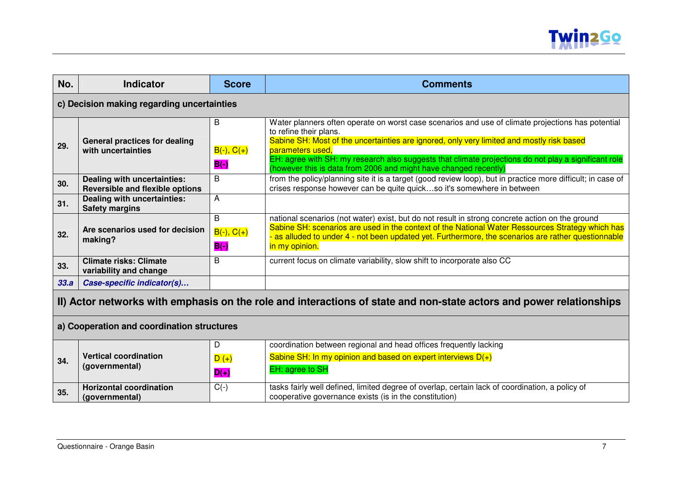

| No.                                                                                                                                                                         | <b>Indicator</b>                                                      | <b>Score</b>                | <b>Comments</b>                                                                                                                                                                                                                                                                                                                                                                                                          |
|-----------------------------------------------------------------------------------------------------------------------------------------------------------------------------|-----------------------------------------------------------------------|-----------------------------|--------------------------------------------------------------------------------------------------------------------------------------------------------------------------------------------------------------------------------------------------------------------------------------------------------------------------------------------------------------------------------------------------------------------------|
|                                                                                                                                                                             | c) Decision making regarding uncertainties                            |                             |                                                                                                                                                                                                                                                                                                                                                                                                                          |
| 29.                                                                                                                                                                         | <b>General practices for dealing</b><br>with uncertainties            | B<br>$B(-), C(+)$<br>$B(-)$ | Water planners often operate on worst case scenarios and use of climate projections has potential<br>to refine their plans.<br>Sabine SH: Most of the uncertainties are ignored, only very limited and mostly risk based<br>parameters used,<br>EH: agree with SH: my research also suggests that climate projections do not play a significant role<br>(however this is data from 2006 and might have changed recently) |
| 30.                                                                                                                                                                         | Dealing with uncertainties:<br><b>Reversible and flexible options</b> | B                           | from the policy/planning site it is a target (good review loop), but in practice more difficult; in case of<br>crises response however can be quite quickso it's somewhere in between                                                                                                                                                                                                                                    |
| 31.                                                                                                                                                                         | Dealing with uncertainties:<br><b>Safety margins</b>                  | A                           |                                                                                                                                                                                                                                                                                                                                                                                                                          |
| 32.                                                                                                                                                                         | Are scenarios used for decision<br>making?                            | B<br>$B(-), C(+)$<br>$B(-)$ | national scenarios (not water) exist, but do not result in strong concrete action on the ground<br>Sabine SH: scenarios are used in the context of the National Water Ressources Strategy which has<br>as alluded to under 4 - not been updated yet. Furthermore, the scenarios are rather questionnable<br>in my opinion.                                                                                               |
| 33.                                                                                                                                                                         | <b>Climate risks: Climate</b><br>variability and change               | B                           | current focus on climate variability, slow shift to incorporate also CC                                                                                                                                                                                                                                                                                                                                                  |
| 33.a                                                                                                                                                                        | Case-specific indicator(s)                                            |                             |                                                                                                                                                                                                                                                                                                                                                                                                                          |
| II) Actor networks with emphasis on the role and interactions of state and non-state actors and power relationships<br>$\cdot$ $\sim$<br>ويلمريسهم مرمالهم والمسموم امورماه |                                                                       |                             |                                                                                                                                                                                                                                                                                                                                                                                                                          |

#### **a) Cooperation and coordination structures**

| 34. | <b>Vertical coordination</b><br>(governmental) |         | coordination between regional and head offices frequently lacking                               |
|-----|------------------------------------------------|---------|-------------------------------------------------------------------------------------------------|
|     |                                                | $D (+)$ | Sabine SH: In my opinion and based on expert interviews $D(+)$                                  |
|     |                                                | $D(+)$  | EH: agree to SH                                                                                 |
| 35. | <b>Horizontal coordination</b>                 | $C(-)$  | tasks fairly well defined, limited degree of overlap, certain lack of coordination, a policy of |
|     | (governmental)                                 |         | cooperative governance exists (is in the constitution)                                          |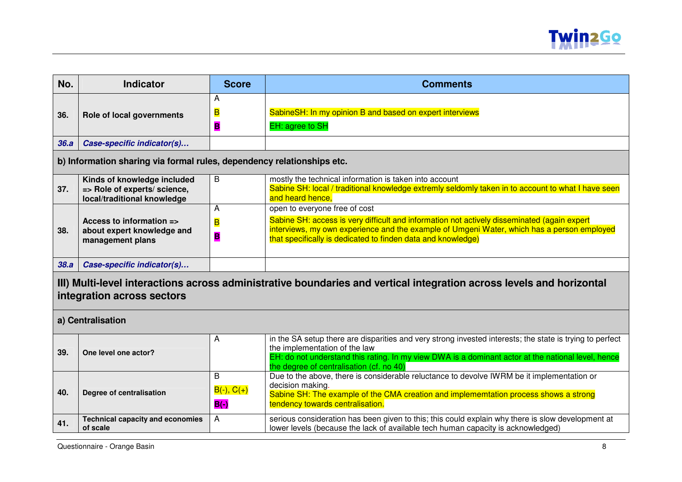

| No.  | <b>Indicator</b>                                                                                                                                   | <b>Score</b>                | <b>Comments</b>                                                                                                                                                                                                                                                                             |  |
|------|----------------------------------------------------------------------------------------------------------------------------------------------------|-----------------------------|---------------------------------------------------------------------------------------------------------------------------------------------------------------------------------------------------------------------------------------------------------------------------------------------|--|
| 36.  | Role of local governments                                                                                                                          | А<br>B<br>в                 | SabineSH: In my opinion B and based on expert interviews<br>EH: agree to SH                                                                                                                                                                                                                 |  |
| 36.a | Case-specific indicator(s)                                                                                                                         |                             |                                                                                                                                                                                                                                                                                             |  |
|      | b) Information sharing via formal rules, dependency relationships etc.                                                                             |                             |                                                                                                                                                                                                                                                                                             |  |
| 37.  | Kinds of knowledge included<br>=> Role of experts/ science,<br>local/traditional knowledge                                                         | B                           | mostly the technical information is taken into account<br>Sabine SH: local / traditional knowledge extremly seldomly taken in to account to what I have seen<br>and heard hence,                                                                                                            |  |
| 38.  | Access to information =><br>about expert knowledge and<br>management plans                                                                         | A<br>B<br>B                 | open to everyone free of cost<br>Sabine SH: access is very difficult and information not actively disseminated (again expert<br>interviews, my own experience and the example of Umgeni Water, which has a person employed<br>that specifically is dedicated to finden data and knowledge)  |  |
| 38.a | Case-specific indicator(s)                                                                                                                         |                             |                                                                                                                                                                                                                                                                                             |  |
|      | III) Multi-level interactions across administrative boundaries and vertical integration across levels and horizontal<br>integration across sectors |                             |                                                                                                                                                                                                                                                                                             |  |
|      | a) Centralisation                                                                                                                                  |                             |                                                                                                                                                                                                                                                                                             |  |
| 39.  | One level one actor?                                                                                                                               | A                           | in the SA setup there are disparities and very strong invested interests; the state is trying to perfect<br>the implementation of the law<br>EH: do not understand this rating. In my view DWA is a dominant actor at the national level, hence<br>the degree of centralisation (cf. no 40) |  |
| 40.  | Degree of centralisation                                                                                                                           | B<br>$B(-), C(+)$<br>$B(-)$ | Due to the above, there is considerable reluctance to devolve IWRM be it implementation or<br>decision making.<br>Sabine SH: The example of the CMA creation and implememtation process shows a strong<br>tendency towards centralisation.                                                  |  |
| 41.  | <b>Technical capacity and economies</b><br>of scale                                                                                                | A                           | serious consideration has been given to this; this could explain why there is slow development at<br>lower levels (because the lack of available tech human capacity is acknowledged)                                                                                                       |  |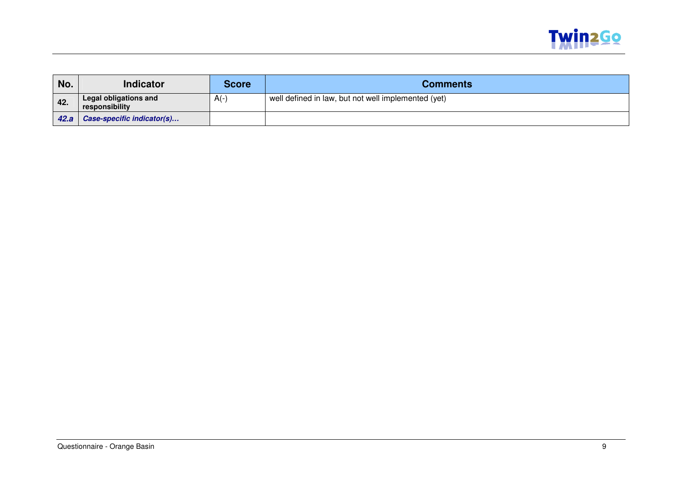

| No.  | <b>Indicator</b>                               | Score | <b>Comments</b>                                     |
|------|------------------------------------------------|-------|-----------------------------------------------------|
| 42.  | <b>Legal obligations and</b><br>responsibility | $A(-$ | well defined in law, but not well implemented (yet) |
| 42.a | Case-specific indicator(s)                     |       |                                                     |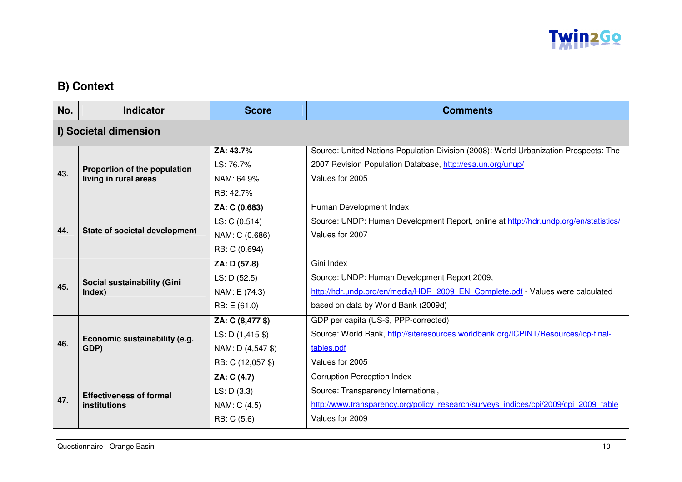

## **B) Context**

| No. | <b>Indicator</b>                      | <b>Score</b>      | <b>Comments</b>                                                                      |
|-----|---------------------------------------|-------------------|--------------------------------------------------------------------------------------|
|     | I) Societal dimension                 |                   |                                                                                      |
|     |                                       | ZA: 43.7%         | Source: United Nations Population Division (2008): World Urbanization Prospects: The |
|     | Proportion of the population          | LS: 76.7%         | 2007 Revision Population Database, http://esa.un.org/unup/                           |
| 43. | living in rural areas                 | NAM: 64.9%        | Values for 2005                                                                      |
|     |                                       | RB: 42.7%         |                                                                                      |
|     |                                       | ZA: C (0.683)     | Human Development Index                                                              |
|     |                                       | LS: C (0.514)     | Source: UNDP: Human Development Report, online at http://hdr.undp.org/en/statistics/ |
| 44. | State of societal development         | NAM: C (0.686)    | Values for 2007                                                                      |
|     |                                       | RB: C (0.694)     |                                                                                      |
|     | Social sustainability (Gini<br>Index) | ZA: D (57.8)      | Gini Index                                                                           |
|     |                                       | LS: D (52.5)      | Source: UNDP: Human Development Report 2009,                                         |
| 45. |                                       | NAM: E (74.3)     | http://hdr.undp.org/en/media/HDR 2009 EN Complete.pdf - Values were calculated       |
|     |                                       | RB: E (61.0)      | based on data by World Bank (2009d)                                                  |
|     |                                       | ZA: C (8,477 \$)  | GDP per capita (US-\$, PPP-corrected)                                                |
|     | Economic sustainability (e.g.         | LS: $D(1, 415 \$  | Source: World Bank, http://siteresources.worldbank.org/ICPINT/Resources/icp-final-   |
| 46. | GDP)                                  | NAM: D (4,547 \$) | tables.pdf                                                                           |
|     |                                       | RB: C (12,057 \$) | Values for 2005                                                                      |
|     |                                       | ZA: C (4.7)       | <b>Corruption Perception Index</b>                                                   |
|     | <b>Effectiveness of formal</b>        | LS: D(3.3)        | Source: Transparency International,                                                  |
| 47. | institutions                          | NAM: C (4.5)      | http://www.transparency.org/policy research/surveys indices/cpi/2009/cpi 2009 table  |
|     |                                       | RB: C (5.6)       | Values for 2009                                                                      |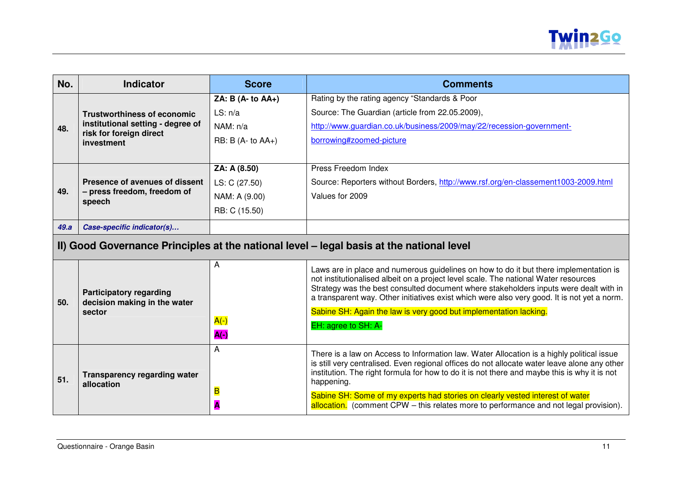

| No.  | <b>Indicator</b>                                                                         | <b>Score</b>        | <b>Comments</b>                                                                                                                                                                                                                                                                                                                                                      |  |  |
|------|------------------------------------------------------------------------------------------|---------------------|----------------------------------------------------------------------------------------------------------------------------------------------------------------------------------------------------------------------------------------------------------------------------------------------------------------------------------------------------------------------|--|--|
|      | <b>Trustworthiness of economic</b>                                                       | $ZA: B (A- to AA+)$ | Rating by the rating agency "Standards & Poor                                                                                                                                                                                                                                                                                                                        |  |  |
|      |                                                                                          | LS: n/a             | Source: The Guardian (article from 22.05.2009),                                                                                                                                                                                                                                                                                                                      |  |  |
| 48.  | institutional setting - degree of<br>risk for foreign direct                             | NAM: n/a            | http://www.guardian.co.uk/business/2009/may/22/recession-government-                                                                                                                                                                                                                                                                                                 |  |  |
|      | investment                                                                               | $RB: B(A- to AA+)$  | borrowing#zoomed-picture                                                                                                                                                                                                                                                                                                                                             |  |  |
|      |                                                                                          |                     |                                                                                                                                                                                                                                                                                                                                                                      |  |  |
|      |                                                                                          | ZA: A (8.50)        | Press Freedom Index                                                                                                                                                                                                                                                                                                                                                  |  |  |
|      | Presence of avenues of dissent                                                           | LS: C (27.50)       | Source: Reporters without Borders, http://www.rsf.org/en-classement1003-2009.html                                                                                                                                                                                                                                                                                    |  |  |
| 49.  | - press freedom, freedom of<br>speech                                                    | NAM: A (9.00)       | Values for 2009                                                                                                                                                                                                                                                                                                                                                      |  |  |
|      |                                                                                          | RB: C (15.50)       |                                                                                                                                                                                                                                                                                                                                                                      |  |  |
| 49.a | Case-specific indicator(s)                                                               |                     |                                                                                                                                                                                                                                                                                                                                                                      |  |  |
|      | II) Good Governance Principles at the national level - legal basis at the national level |                     |                                                                                                                                                                                                                                                                                                                                                                      |  |  |
|      | <b>Participatory regarding</b><br>decision making in the water<br>sector                 | A                   | Laws are in place and numerous guidelines on how to do it but there implementation is<br>not institutionalised albeit on a project level scale. The national Water resources<br>Strategy was the best consulted document where stakeholders inputs were dealt with in<br>a transparent way. Other initiatives exist which were also very good. It is not yet a norm. |  |  |
| 50.  |                                                                                          |                     | Sabine SH: Again the law is very good but implementation lacking.                                                                                                                                                                                                                                                                                                    |  |  |
|      |                                                                                          | $A(-)$              | EH: agree to SH: A-                                                                                                                                                                                                                                                                                                                                                  |  |  |
|      |                                                                                          | $A(-)$              |                                                                                                                                                                                                                                                                                                                                                                      |  |  |
| 51.  | Transparency regarding water<br>allocation                                               | A                   | There is a law on Access to Information law. Water Allocation is a highly political issue<br>is still very centralised. Even regional offices do not allocate water leave alone any other<br>institution. The right formula for how to do it is not there and maybe this is why it is not<br>happening.                                                              |  |  |
|      |                                                                                          | B                   | Sabine SH: Some of my experts had stories on clearly vested interest of water<br>allocation. (comment CPW – this relates more to performance and not legal provision).                                                                                                                                                                                               |  |  |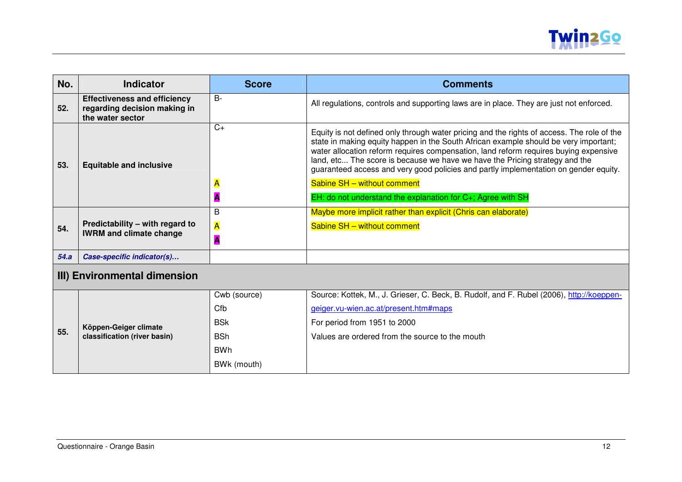

| No.  | <b>Indicator</b>                                                                        | <b>Score</b>            | <b>Comments</b>                                                                                                                                                                                                                                                                                                                                                                                                                                                                  |
|------|-----------------------------------------------------------------------------------------|-------------------------|----------------------------------------------------------------------------------------------------------------------------------------------------------------------------------------------------------------------------------------------------------------------------------------------------------------------------------------------------------------------------------------------------------------------------------------------------------------------------------|
| 52.  | <b>Effectiveness and efficiency</b><br>regarding decision making in<br>the water sector | $B -$                   | All regulations, controls and supporting laws are in place. They are just not enforced.                                                                                                                                                                                                                                                                                                                                                                                          |
| 53.  | <b>Equitable and inclusive</b>                                                          | $C+$                    | Equity is not defined only through water pricing and the rights of access. The role of the<br>state in making equity happen in the South African example should be very important;<br>water allocation reform requires compensation, land reform requires buying expensive<br>land, etc The score is because we have we have the Pricing strategy and the<br>guaranteed access and very good policies and partly implementation on gender equity.<br>Sabine SH - without comment |
|      |                                                                                         |                         | EH: do not understand the explanation for $C_{+}$ ; Agree with SH                                                                                                                                                                                                                                                                                                                                                                                                                |
|      |                                                                                         | B                       | Maybe more implicit rather than explicit (Chris can elaborate)                                                                                                                                                                                                                                                                                                                                                                                                                   |
| 54.  | Predictability - with regard to<br><b>IWRM and climate change</b>                       | $\overline{\mathsf{A}}$ | Sabine SH - without comment                                                                                                                                                                                                                                                                                                                                                                                                                                                      |
|      |                                                                                         |                         |                                                                                                                                                                                                                                                                                                                                                                                                                                                                                  |
| 54.a | Case-specific indicator(s)                                                              |                         |                                                                                                                                                                                                                                                                                                                                                                                                                                                                                  |
|      | III) Environmental dimension                                                            |                         |                                                                                                                                                                                                                                                                                                                                                                                                                                                                                  |
|      |                                                                                         | Cwb (source)            | Source: Kottek, M., J. Grieser, C. Beck, B. Rudolf, and F. Rubel (2006), http://koeppen-                                                                                                                                                                                                                                                                                                                                                                                         |
|      |                                                                                         | Cfb                     | geiger.vu-wien.ac.at/present.htm#maps                                                                                                                                                                                                                                                                                                                                                                                                                                            |
|      | Köppen-Geiger climate                                                                   | <b>BSK</b>              | For period from 1951 to 2000                                                                                                                                                                                                                                                                                                                                                                                                                                                     |
| 55.  | classification (river basin)                                                            | <b>BSh</b>              | Values are ordered from the source to the mouth                                                                                                                                                                                                                                                                                                                                                                                                                                  |
|      |                                                                                         | <b>BWh</b>              |                                                                                                                                                                                                                                                                                                                                                                                                                                                                                  |
|      |                                                                                         | BWk (mouth)             |                                                                                                                                                                                                                                                                                                                                                                                                                                                                                  |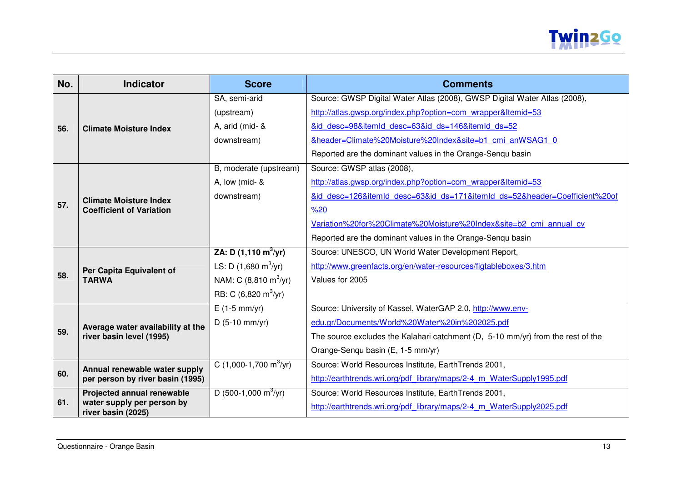

| No. | <b>Indicator</b>                                 | <b>Score</b>                                 | <b>Comments</b>                                                                 |
|-----|--------------------------------------------------|----------------------------------------------|---------------------------------------------------------------------------------|
|     |                                                  | SA, semi-arid                                | Source: GWSP Digital Water Atlas (2008), GWSP Digital Water Atlas (2008),       |
|     |                                                  | (upstream)                                   | http://atlas.gwsp.org/index.php?option=com wrapper&Itemid=53                    |
| 56. | <b>Climate Moisture Index</b>                    | A, arid (mid- &                              | &id desc=98&itemId desc=63&id ds=146&itemId ds=52                               |
|     |                                                  | downstream)                                  | &header=Climate%20Moisture%20Index&site=b1 cmi anWSAG1 0                        |
|     |                                                  |                                              | Reported are the dominant values in the Orange-Senqu basin                      |
|     |                                                  | B, moderate (upstream)                       | Source: GWSP atlas (2008),                                                      |
|     |                                                  | A, low (mid- &                               | http://atlas.gwsp.org/index.php?option=com_wrapper&Itemid=53                    |
|     | <b>Climate Moisture Index</b>                    | downstream)                                  | &id desc=126&itemId desc=63&id ds=171&itemId ds=52&header=Coefficient%20of      |
| 57. | <b>Coefficient of Variation</b>                  |                                              | %20                                                                             |
|     |                                                  |                                              | Variation%20for%20Climate%20Moisture%20Index&site=b2 cmi annual cv              |
|     |                                                  |                                              | Reported are the dominant values in the Orange-Senqu basin                      |
|     |                                                  | <b>ZA:</b> D $(1,110 \text{ m}^3/\text{yr})$ | Source: UNESCO, UN World Water Development Report,                              |
|     | Per Capita Equivalent of<br><b>TARWA</b>         | LS: D $(1,680 \text{ m}^3/\text{yr})$        | http://www.greenfacts.org/en/water-resources/figtableboxes/3.htm                |
| 58. |                                                  | NAM: C $(8,810 \text{ m}^3/\text{yr})$       | Values for 2005                                                                 |
|     |                                                  | RB: C $(6,820 \text{ m}^3/\text{yr})$        |                                                                                 |
|     |                                                  | $E(1-5 mm/yr)$                               | Source: University of Kassel, WaterGAP 2.0, http://www.env-                     |
|     | Average water availability at the                | $D(5-10 mm/yr)$                              | edu.gr/Documents/World%20Water%20in%202025.pdf                                  |
| 59. | river basin level (1995)                         |                                              | The source excludes the Kalahari catchment (D, 5-10 mm/yr) from the rest of the |
|     |                                                  |                                              | Orange-Senqu basin (E, 1-5 mm/yr)                                               |
|     | Annual renewable water supply                    | C $(1,000-1,700 \text{ m}^3/\text{yr})$      | Source: World Resources Institute, EarthTrends 2001,                            |
| 60. | per person by river basin (1995)                 |                                              | http://earthtrends.wri.org/pdf library/maps/2-4 m WaterSupply1995.pdf           |
|     | Projected annual renewable                       | D (500-1,000 m <sup>3</sup> /yr)             | Source: World Resources Institute, EarthTrends 2001,                            |
| 61. | water supply per person by<br>river basin (2025) |                                              | http://earthtrends.wri.org/pdf library/maps/2-4 m WaterSupply2025.pdf           |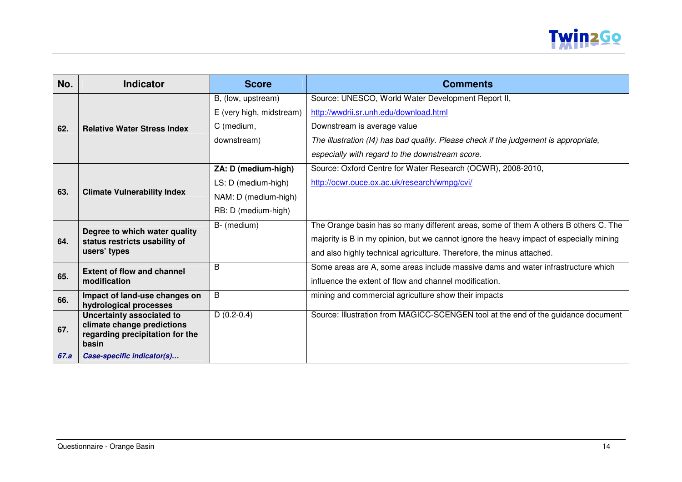

| No.  | <b>Indicator</b>                                              | <b>Score</b>             | <b>Comments</b>                                                                         |
|------|---------------------------------------------------------------|--------------------------|-----------------------------------------------------------------------------------------|
|      |                                                               | B, (low, upstream)       | Source: UNESCO, World Water Development Report II,                                      |
|      | <b>Relative Water Stress Index</b>                            | E (very high, midstream) | http://wwdrii.sr.unh.edu/download.html                                                  |
| 62.  |                                                               | C (medium,               | Downstream is average value                                                             |
|      |                                                               | downstream)              | The illustration (I4) has bad quality. Please check if the judgement is appropriate,    |
|      |                                                               |                          | especially with regard to the downstream score.                                         |
|      |                                                               | ZA: D (medium-high)      | Source: Oxford Centre for Water Research (OCWR), 2008-2010,                             |
|      |                                                               | LS: D (medium-high)      | http://ocwr.ouce.ox.ac.uk/research/wmpg/cvi/                                            |
| 63.  | <b>Climate Vulnerability Index</b>                            | NAM: D (medium-high)     |                                                                                         |
|      |                                                               | RB: D (medium-high)      |                                                                                         |
|      | Degree to which water quality                                 | B- (medium)              | The Orange basin has so many different areas, some of them A others B others C. The     |
| 64.  | status restricts usability of<br>users' types                 |                          | majority is B in my opinion, but we cannot ignore the heavy impact of especially mining |
|      |                                                               |                          | and also highly technical agriculture. Therefore, the minus attached.                   |
|      | <b>Extent of flow and channel</b>                             | B                        | Some areas are A, some areas include massive dams and water infrastructure which        |
| 65.  | modification                                                  |                          | influence the extent of flow and channel modification.                                  |
| 66.  | Impact of land-use changes on<br>hydrological processes       | B                        | mining and commercial agriculture show their impacts                                    |
|      | Uncertainty associated to                                     | $D(0.2-0.4)$             | Source: Illustration from MAGICC-SCENGEN tool at the end of the guidance document       |
| 67.  | climate change predictions<br>regarding precipitation for the |                          |                                                                                         |
|      | basin                                                         |                          |                                                                                         |
| 67.a | Case-specific indicator(s)                                    |                          |                                                                                         |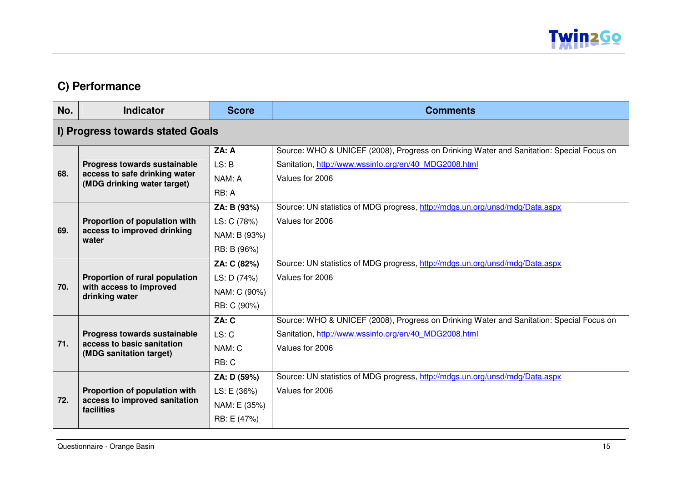

## **C) Performance**

| No.                              | <b>Indicator</b>                                                            | <b>Score</b> | <b>Comments</b>                                                                          |  |
|----------------------------------|-----------------------------------------------------------------------------|--------------|------------------------------------------------------------------------------------------|--|
| I) Progress towards stated Goals |                                                                             |              |                                                                                          |  |
|                                  |                                                                             | ZA: A        | Source: WHO & UNICEF (2008), Progress on Drinking Water and Sanitation: Special Focus on |  |
|                                  | <b>Progress towards sustainable</b>                                         | LS: B        | Sanitation, http://www.wssinfo.org/en/40 MDG2008.html                                    |  |
| 68.                              | access to safe drinking water<br>(MDG drinking water target)                | NAM: A       | Values for 2006                                                                          |  |
|                                  |                                                                             | RB: A        |                                                                                          |  |
|                                  |                                                                             | ZA: B (93%)  | Source: UN statistics of MDG progress, http://mdgs.un.org/unsd/mdg/Data.aspx             |  |
|                                  | Proportion of population with                                               | LS: C (78%)  | Values for 2006                                                                          |  |
| 69.                              | access to improved drinking<br>water                                        | NAM: B (93%) |                                                                                          |  |
|                                  |                                                                             | RB: B (96%)  |                                                                                          |  |
|                                  |                                                                             | ZA: C (82%)  | Source: UN statistics of MDG progress, http://mdgs.un.org/unsd/mdg/Data.aspx             |  |
|                                  | Proportion of rural population<br>with access to improved<br>drinking water | LS: D (74%)  | Values for 2006                                                                          |  |
| 70.                              |                                                                             | NAM: C (90%) |                                                                                          |  |
|                                  |                                                                             | RB: C (90%)  |                                                                                          |  |
|                                  |                                                                             | ZA: C        | Source: WHO & UNICEF (2008), Progress on Drinking Water and Sanitation: Special Focus on |  |
|                                  | Progress towards sustainable                                                | LS: C        | Sanitation, http://www.wssinfo.org/en/40 MDG2008.html                                    |  |
| 71.                              | access to basic sanitation<br>(MDG sanitation target)                       | NAM: C       | Values for 2006                                                                          |  |
|                                  |                                                                             | RB: C        |                                                                                          |  |
|                                  |                                                                             | ZA: D (59%)  | Source: UN statistics of MDG progress, http://mdgs.un.org/unsd/mdg/Data.aspx             |  |
|                                  | Proportion of population with                                               | LS: E (36%)  | Values for 2006                                                                          |  |
| 72.                              | access to improved sanitation<br>facilities                                 | NAM: E (35%) |                                                                                          |  |
|                                  |                                                                             | RB: E (47%)  |                                                                                          |  |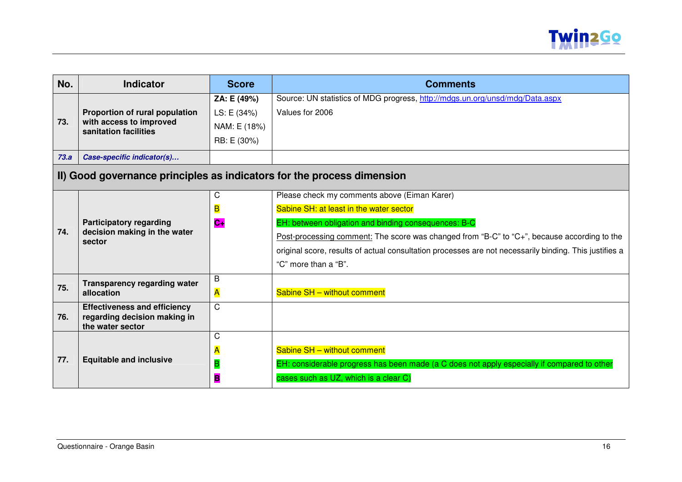

| No.  | <b>Indicator</b>                                                         | <b>Score</b>            | <b>Comments</b>                                                                                        |  |  |
|------|--------------------------------------------------------------------------|-------------------------|--------------------------------------------------------------------------------------------------------|--|--|
|      |                                                                          | ZA: E (49%)             | Source: UN statistics of MDG progress, http://mdgs.un.org/unsd/mdg/Data.aspx                           |  |  |
|      | Proportion of rural population                                           | LS: E (34%)             | Values for 2006                                                                                        |  |  |
| 73.  | with access to improved<br>sanitation facilities                         | NAM: E (18%)            |                                                                                                        |  |  |
|      |                                                                          | RB: E (30%)             |                                                                                                        |  |  |
| 73.a | Case-specific indicator(s)                                               |                         |                                                                                                        |  |  |
|      | II) Good governance principles as indicators for the process dimension   |                         |                                                                                                        |  |  |
|      |                                                                          | C                       | Please check my comments above (Eiman Karer)                                                           |  |  |
|      |                                                                          | $\overline{\mathsf{B}}$ | Sabine SH: at least in the water sector                                                                |  |  |
|      | <b>Participatory regarding</b><br>decision making in the water<br>sector | $C +$                   | EH: between obligation and binding consequences: B-C                                                   |  |  |
| 74.  |                                                                          |                         | Post-processing comment: The score was changed from "B-C" to "C+", because according to the            |  |  |
|      |                                                                          |                         | original score, results of actual consultation processes are not necessarily binding. This justifies a |  |  |
|      |                                                                          |                         | "C" more than a "B".                                                                                   |  |  |
|      | <b>Transparency regarding water</b>                                      | B                       |                                                                                                        |  |  |
| 75.  | allocation                                                               | A                       | Sabine SH - without comment                                                                            |  |  |
|      | <b>Effectiveness and efficiency</b>                                      | C                       |                                                                                                        |  |  |
| 76.  | regarding decision making in<br>the water sector                         |                         |                                                                                                        |  |  |
|      |                                                                          | C                       |                                                                                                        |  |  |
|      |                                                                          |                         | Sabine SH - without comment                                                                            |  |  |
| 77.  | <b>Equitable and inclusive</b>                                           |                         | EH: considerable progress has been made (a C does not apply especially if compared to other            |  |  |
|      |                                                                          |                         | cases such as UZ, which is a clear C)                                                                  |  |  |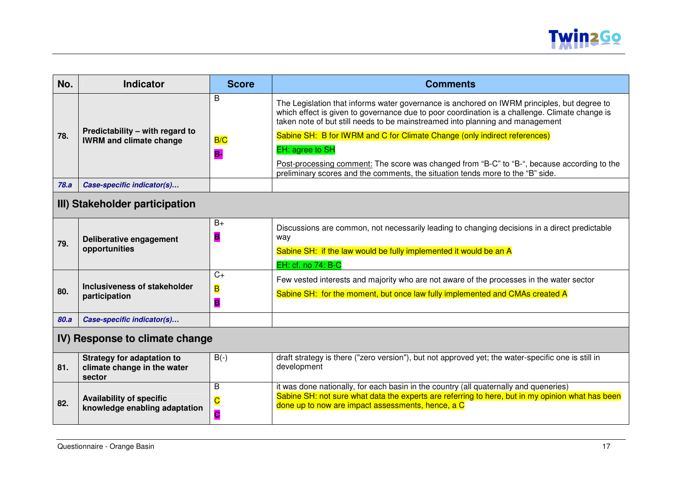

| No.  | <b>Indicator</b>                                                           | <b>Score</b>                    | <b>Comments</b>                                                                                                                                                                                                                                                                |  |  |
|------|----------------------------------------------------------------------------|---------------------------------|--------------------------------------------------------------------------------------------------------------------------------------------------------------------------------------------------------------------------------------------------------------------------------|--|--|
|      |                                                                            | B                               | The Legislation that informs water governance is anchored on IWRM principles, but degree to<br>which effect is given to governance due to poor coordination is a challenge. Climate change is<br>taken note of but still needs to be mainstreamed into planning and management |  |  |
| 78.  | Predictability - with regard to<br><b>IWRM and climate change</b>          | B/C                             | Sabine SH: B for IWRM and C for Climate Change (only indirect references)                                                                                                                                                                                                      |  |  |
|      |                                                                            | <b>B-</b>                       | EH: agree to SH                                                                                                                                                                                                                                                                |  |  |
|      |                                                                            |                                 | Post-processing comment: The score was changed from "B-C" to "B-", because according to the<br>preliminary scores and the comments, the situation tends more to the "B" side.                                                                                                  |  |  |
| 78.a | Case-specific indicator(s)                                                 |                                 |                                                                                                                                                                                                                                                                                |  |  |
|      | III) Stakeholder participation                                             |                                 |                                                                                                                                                                                                                                                                                |  |  |
| 79.  | Deliberative engagement<br>opportunities                                   | $B+$<br>B                       | Discussions are common, not necessarily leading to changing decisions in a direct predictable<br>way<br>Sabine SH: if the law would be fully implemented it would be an A                                                                                                      |  |  |
|      |                                                                            |                                 | EH: cf. no 74: B-C                                                                                                                                                                                                                                                             |  |  |
|      | Inclusiveness of stakeholder<br>participation                              | $C+$                            | Few vested interests and majority who are not aware of the processes in the water sector                                                                                                                                                                                       |  |  |
| 80.  |                                                                            | B<br>B                          | Sabine SH: for the moment, but once law fully implemented and CMAs created A                                                                                                                                                                                                   |  |  |
| 80.a | Case-specific indicator(s)                                                 |                                 |                                                                                                                                                                                                                                                                                |  |  |
|      | IV) Response to climate change                                             |                                 |                                                                                                                                                                                                                                                                                |  |  |
| 81.  | <b>Strategy for adaptation to</b><br>climate change in the water<br>sector | $B(-)$                          | draft strategy is there ("zero version"), but not approved yet; the water-specific one is still in<br>development                                                                                                                                                              |  |  |
| 82.  | <b>Availability of specific</b><br>knowledge enabling adaptation           | B<br>$\overline{\text{C}}$<br>C | it was done nationally, for each basin in the country (all quaternally and queneries)<br>Sabine SH: not sure what data the experts are referring to here, but in my opinion what has been<br>done up to now are impact assessments, hence, a C                                 |  |  |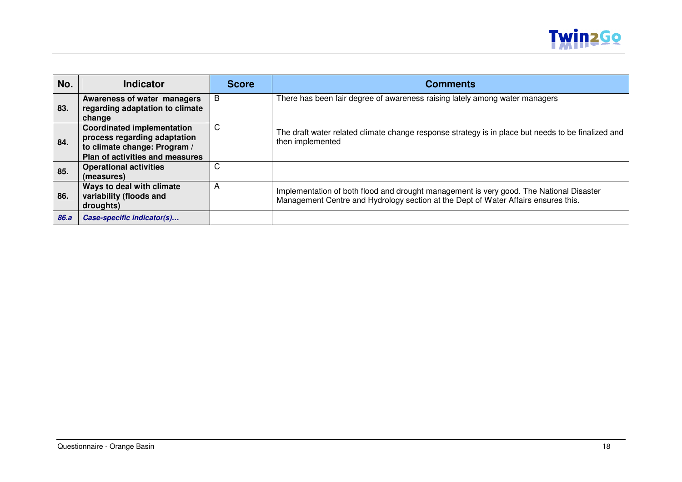

| No.         | <b>Indicator</b>                                                                                                                     | <b>Score</b> | <b>Comments</b>                                                                                                                                                               |
|-------------|--------------------------------------------------------------------------------------------------------------------------------------|--------------|-------------------------------------------------------------------------------------------------------------------------------------------------------------------------------|
| 83.         | Awareness of water managers<br>regarding adaptation to climate<br>change                                                             | B            | There has been fair degree of awareness raising lately among water managers                                                                                                   |
| 84.         | <b>Coordinated implementation</b><br>process regarding adaptation<br>to climate change: Program /<br>Plan of activities and measures | C            | The draft water related climate change response strategy is in place but needs to be finalized and<br>then implemented                                                        |
| 85.         | <b>Operational activities</b><br>(measures)                                                                                          | C            |                                                                                                                                                                               |
| 86.         | Ways to deal with climate<br>variability (floods and<br>droughts)                                                                    | A            | Implementation of both flood and drought management is very good. The National Disaster<br>Management Centre and Hydrology section at the Dept of Water Affairs ensures this. |
| <b>86.a</b> | Case-specific indicator(s)                                                                                                           |              |                                                                                                                                                                               |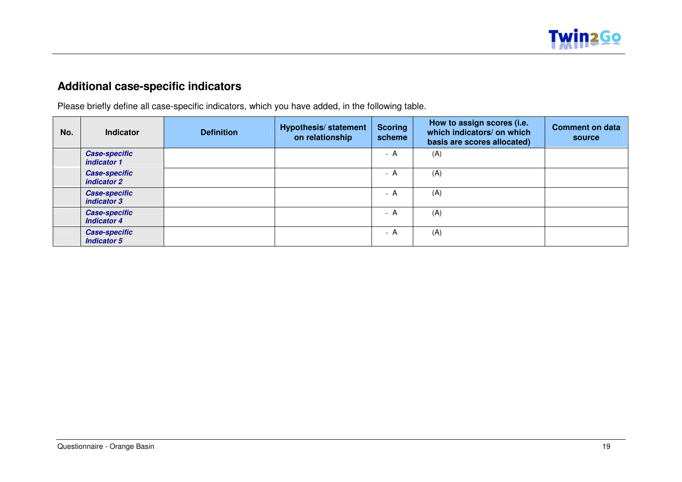

# **Additional case-specific indicators**

Please briefly define all case-specific indicators, which you have added, in the following table.

| No. | <b>Indicator</b>                           | <b>Definition</b> | <b>Hypothesis/statement</b><br>on relationship | <b>Scoring</b><br>scheme | How to assign scores (i.e.<br>which indicators/ on which<br>basis are scores allocated) | <b>Comment on data</b><br>source |
|-----|--------------------------------------------|-------------------|------------------------------------------------|--------------------------|-----------------------------------------------------------------------------------------|----------------------------------|
|     | <b>Case-specific</b><br>indicator 1        |                   |                                                | - A                      | (A)                                                                                     |                                  |
|     | <b>Case-specific</b><br>indicator 2        |                   |                                                | - A                      | (A)                                                                                     |                                  |
|     | <b>Case-specific</b><br>indicator 3        |                   |                                                | - A                      | (A)                                                                                     |                                  |
|     | <b>Case-specific</b><br><b>Indicator 4</b> |                   |                                                | - A                      | (A)                                                                                     |                                  |
|     | <b>Case-specific</b><br><b>Indicator 5</b> |                   |                                                | - A                      | (A)                                                                                     |                                  |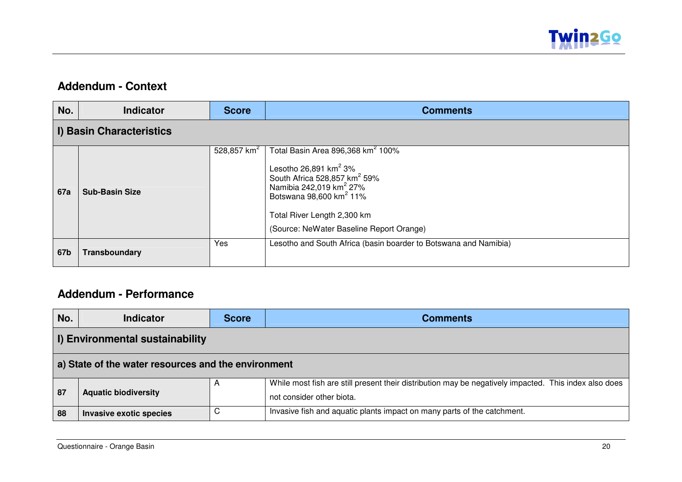

#### **Addendum - Context**

| No.                      | <b>Indicator</b>      | <b>Score</b>   | <b>Comments</b>                                                                                                                                                                                                                                                                         |
|--------------------------|-----------------------|----------------|-----------------------------------------------------------------------------------------------------------------------------------------------------------------------------------------------------------------------------------------------------------------------------------------|
| I) Basin Characteristics |                       |                |                                                                                                                                                                                                                                                                                         |
| 67a                      | <b>Sub-Basin Size</b> | 528,857 $km^2$ | Total Basin Area 896,368 km <sup>2</sup> 100%<br>Lesotho 26,891 km <sup>2</sup> 3%<br>South Africa 528,857 km <sup>2</sup> 59%<br>Namibia 242,019 km <sup>2</sup> 27%<br>Botswana 98,600 km <sup>2</sup> 11%<br>Total River Length 2,300 km<br>(Source: NeWater Baseline Report Orange) |
| 67b                      | Transboundary         | Yes            | Lesotho and South Africa (basin boarder to Botswana and Namibia)                                                                                                                                                                                                                        |

### **Addendum - Performance**

| No. | <b>Indicator</b>                                    | <b>Comments</b><br><b>Score</b> |                                                                                                                                    |  |  |  |
|-----|-----------------------------------------------------|---------------------------------|------------------------------------------------------------------------------------------------------------------------------------|--|--|--|
|     | <b>I) Environmental sustainability</b>              |                                 |                                                                                                                                    |  |  |  |
|     | a) State of the water resources and the environment |                                 |                                                                                                                                    |  |  |  |
| 87  | <b>Aquatic biodiversity</b>                         | А                               | While most fish are still present their distribution may be negatively impacted. This index also does<br>not consider other biota. |  |  |  |
| 88  | Invasive exotic species                             | C                               | Invasive fish and aquatic plants impact on many parts of the catchment.                                                            |  |  |  |